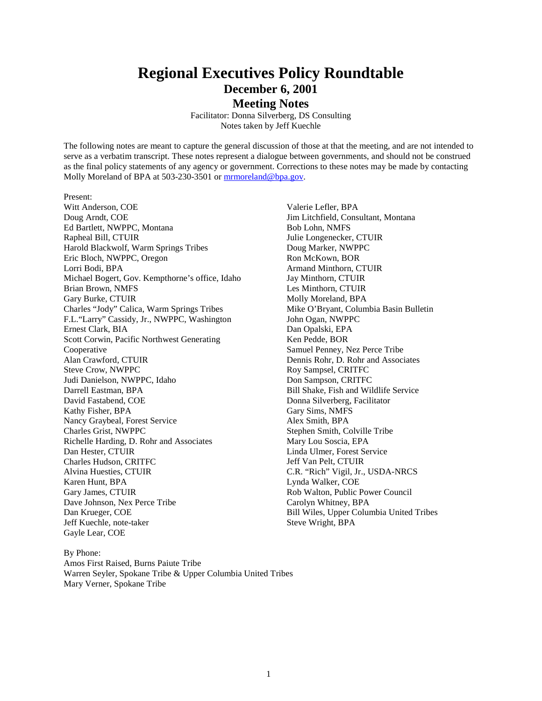# **Regional Executives Policy Roundtable December 6, 2001 Meeting Notes**

Facilitator: Donna Silverberg, DS Consulting Notes taken by Jeff Kuechle

The following notes are meant to capture the general discussion of those at that the meeting, and are not intended to serve as a verbatim transcript. These notes represent a dialogue between governments, and should not be construed as the final policy statements of any agency or government. Corrections to these notes may be made by contacting Molly Moreland of BPA at 503-230-3501 or mrmoreland@bpa.gov.

Present: Witt Anderson, COE Doug Arndt, COE Ed Bartlett, NWPPC, Montana Rapheal Bill, CTUIR Harold Blackwolf, Warm Springs Tribes Eric Bloch, NWPPC, Oregon Lorri Bodi, BPA Michael Bogert, Gov. Kempthorne's office, Idaho Brian Brown, NMFS Gary Burke, CTUIR Charles "Jody" Calica, Warm Springs Tribes F.L."Larry" Cassidy, Jr., NWPPC, Washington Ernest Clark, BIA Scott Corwin, Pacific Northwest Generating Cooperative Alan Crawford, CTUIR Steve Crow, NWPPC Judi Danielson, NWPPC, Idaho Darrell Eastman, BPA David Fastabend, COE Kathy Fisher, BPA Nancy Graybeal, Forest Service Charles Grist, NWPPC Richelle Harding, D. Rohr and Associates Dan Hester, CTUIR Charles Hudson, CRITFC Alvina Huesties, CTUIR Karen Hunt, BPA Gary James, CTUIR Dave Johnson, Nex Perce Tribe Dan Krueger, COE Jeff Kuechle, note-taker Gayle Lear, COE

Valerie Lefler, BPA Jim Litchfield, Consultant, Montana Bob Lohn, NMFS Julie Longenecker, CTUIR Doug Marker, NWPPC Ron McKown, BOR Armand Minthorn, CTUIR Jay Minthorn, CTUIR Les Minthorn, CTUIR Molly Moreland, BPA Mike O'Bryant, Columbia Basin Bulletin John Ogan, NWPPC Dan Opalski, EPA Ken Pedde, BOR Samuel Penney, Nez Perce Tribe Dennis Rohr, D. Rohr and Associates Roy Sampsel, CRITFC Don Sampson, CRITFC Bill Shake, Fish and Wildlife Service Donna Silverberg, Facilitator Gary Sims, NMFS Alex Smith, BPA Stephen Smith, Colville Tribe Mary Lou Soscia, EPA Linda Ulmer, Forest Service Jeff Van Pelt, CTUIR C.R. "Rich" Vigil, Jr., USDA-NRCS Lynda Walker, COE Rob Walton, Public Power Council Carolyn Whitney, BPA Bill Wiles, Upper Columbia United Tribes Steve Wright, BPA

By Phone: Amos First Raised, Burns Paiute Tribe Warren Seyler, Spokane Tribe & Upper Columbia United Tribes Mary Verner, Spokane Tribe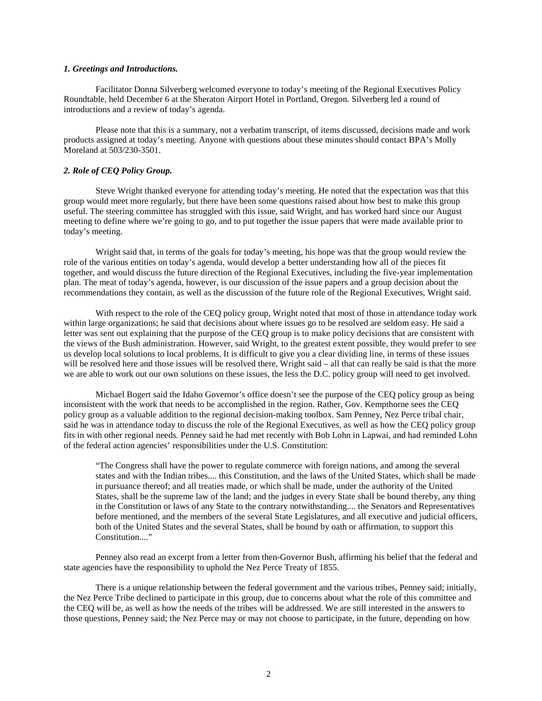#### *1. Greetings and Introductions.*

 Facilitator Donna Silverberg welcomed everyone to today's meeting of the Regional Executives Policy Roundtable, held December 6 at the Sheraton Airport Hotel in Portland, Oregon. Silverberg led a round of introductions and a review of today's agenda.

 Please note that this is a summary, not a verbatim transcript, of items discussed, decisions made and work products assigned at today's meeting. Anyone with questions about these minutes should contact BPA's Molly Moreland at 503/230-3501.

## *2. Role of CEQ Policy Group.*

 Steve Wright thanked everyone for attending today's meeting. He noted that the expectation was that this group would meet more regularly, but there have been some questions raised about how best to make this group useful. The steering committee has struggled with this issue, said Wright, and has worked hard since our August meeting to define where we're going to go, and to put together the issue papers that were made available prior to today's meeting.

 Wright said that, in terms of the goals for today's meeting, his hope was that the group would review the role of the various entities on today's agenda, would develop a better understanding how all of the pieces fit together, and would discuss the future direction of the Regional Executives, including the five-year implementation plan. The meat of today's agenda, however, is our discussion of the issue papers and a group decision about the recommendations they contain, as well as the discussion of the future role of the Regional Executives, Wright said.

With respect to the role of the CEQ policy group, Wright noted that most of those in attendance today work within large organizations; he said that decisions about where issues go to be resolved are seldom easy. He said a letter was sent out explaining that the purpose of the CEQ group is to make policy decisions that are consistent with the views of the Bush administration. However, said Wright, to the greatest extent possible, they would prefer to see us develop local solutions to local problems. It is difficult to give you a clear dividing line, in terms of these issues will be resolved here and those issues will be resolved there, Wright said – all that can really be said is that the more we are able to work out our own solutions on these issues, the less the D.C. policy group will need to get involved.

 Michael Bogert said the Idaho Governor's office doesn't see the purpose of the CEQ policy group as being inconsistent with the work that needs to be accomplished in the region. Rather, Gov. Kempthorne sees the CEQ policy group as a valuable addition to the regional decision-making toolbox. Sam Penney, Nez Perce tribal chair, said he was in attendance today to discuss the role of the Regional Executives, as well as how the CEQ policy group fits in with other regional needs. Penney said he had met recently with Bob Lohn in Lapwai, and had reminded Lohn of the federal action agencies' responsibilities under the U.S. Constitution:

"The Congress shall have the power to regulate commerce with foreign nations, and among the several states and with the Indian tribes.... this Constitution, and the laws of the United States, which shall be made in pursuance thereof; and all treaties made, or which shall be made, under the authority of the United States, shall be the supreme law of the land; and the judges in every State shall be bound thereby, any thing in the Constitution or laws of any State to the contrary notwithstanding.... the Senators and Representatives before mentioned, and the members of the several State Legislatures, and all executive and judicial officers, both of the United States and the several States, shall be bound by oath or affirmation, to support this Constitution...."

 Penney also read an excerpt from a letter from then-Governor Bush, affirming his belief that the federal and state agencies have the responsibility to uphold the Nez Perce Treaty of 1855.

 There is a unique relationship between the federal government and the various tribes, Penney said; initially, the Nez Perce Tribe declined to participate in this group, due to concerns about what the role of this committee and the CEQ will be, as well as how the needs of the tribes will be addressed. We are still interested in the answers to those questions, Penney said; the Nez Perce may or may not choose to participate, in the future, depending on how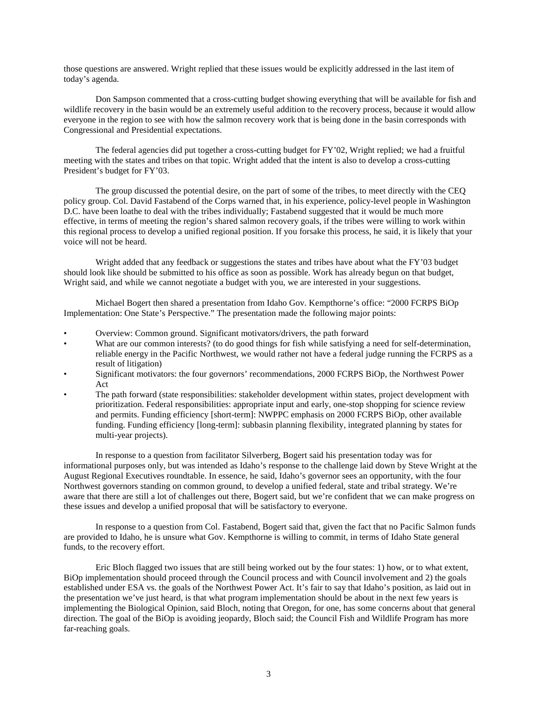those questions are answered. Wright replied that these issues would be explicitly addressed in the last item of today's agenda.

 Don Sampson commented that a cross-cutting budget showing everything that will be available for fish and wildlife recovery in the basin would be an extremely useful addition to the recovery process, because it would allow everyone in the region to see with how the salmon recovery work that is being done in the basin corresponds with Congressional and Presidential expectations.

 The federal agencies did put together a cross-cutting budget for FY'02, Wright replied; we had a fruitful meeting with the states and tribes on that topic. Wright added that the intent is also to develop a cross-cutting President's budget for FY'03.

 The group discussed the potential desire, on the part of some of the tribes, to meet directly with the CEQ policy group. Col. David Fastabend of the Corps warned that, in his experience, policy-level people in Washington D.C. have been loathe to deal with the tribes individually; Fastabend suggested that it would be much more effective, in terms of meeting the region's shared salmon recovery goals, if the tribes were willing to work within this regional process to develop a unified regional position. If you forsake this process, he said, it is likely that your voice will not be heard.

 Wright added that any feedback or suggestions the states and tribes have about what the FY'03 budget should look like should be submitted to his office as soon as possible. Work has already begun on that budget, Wright said, and while we cannot negotiate a budget with you, we are interested in your suggestions.

 Michael Bogert then shared a presentation from Idaho Gov. Kempthorne's office: "2000 FCRPS BiOp Implementation: One State's Perspective." The presentation made the following major points:

- Overview: Common ground. Significant motivators/drivers, the path forward
- What are our common interests? (to do good things for fish while satisfying a need for self-determination, reliable energy in the Pacific Northwest, we would rather not have a federal judge running the FCRPS as a result of litigation)
- Significant motivators: the four governors' recommendations, 2000 FCRPS BiOp, the Northwest Power Act
- The path forward (state responsibilities: stakeholder development within states, project development with prioritization. Federal responsibilities: appropriate input and early, one-stop shopping for science review and permits. Funding efficiency [short-term]: NWPPC emphasis on 2000 FCRPS BiOp, other available funding. Funding efficiency [long-term]: subbasin planning flexibility, integrated planning by states for multi-year projects).

 In response to a question from facilitator Silverberg, Bogert said his presentation today was for informational purposes only, but was intended as Idaho's response to the challenge laid down by Steve Wright at the August Regional Executives roundtable. In essence, he said, Idaho's governor sees an opportunity, with the four Northwest governors standing on common ground, to develop a unified federal, state and tribal strategy. We're aware that there are still a lot of challenges out there, Bogert said, but we're confident that we can make progress on these issues and develop a unified proposal that will be satisfactory to everyone.

 In response to a question from Col. Fastabend, Bogert said that, given the fact that no Pacific Salmon funds are provided to Idaho, he is unsure what Gov. Kempthorne is willing to commit, in terms of Idaho State general funds, to the recovery effort.

 Eric Bloch flagged two issues that are still being worked out by the four states: 1) how, or to what extent, BiOp implementation should proceed through the Council process and with Council involvement and 2) the goals established under ESA vs. the goals of the Northwest Power Act. It's fair to say that Idaho's position, as laid out in the presentation we've just heard, is that what program implementation should be about in the next few years is implementing the Biological Opinion, said Bloch, noting that Oregon, for one, has some concerns about that general direction. The goal of the BiOp is avoiding jeopardy, Bloch said; the Council Fish and Wildlife Program has more far-reaching goals.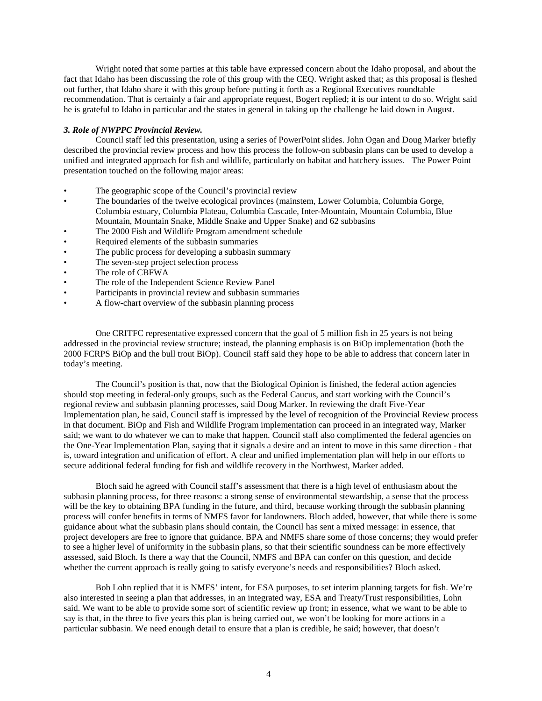Wright noted that some parties at this table have expressed concern about the Idaho proposal, and about the fact that Idaho has been discussing the role of this group with the CEQ. Wright asked that; as this proposal is fleshed out further, that Idaho share it with this group before putting it forth as a Regional Executives roundtable recommendation. That is certainly a fair and appropriate request, Bogert replied; it is our intent to do so. Wright said he is grateful to Idaho in particular and the states in general in taking up the challenge he laid down in August.

## *3. Role of NWPPC Provincial Review.*

 Council staff led this presentation, using a series of PowerPoint slides. John Ogan and Doug Marker briefly described the provincial review process and how this process the follow-on subbasin plans can be used to develop a unified and integrated approach for fish and wildlife, particularly on habitat and hatchery issues. The Power Point presentation touched on the following major areas:

- The geographic scope of the Council's provincial review
- The boundaries of the twelve ecological provinces (mainstem, Lower Columbia, Columbia Gorge, Columbia estuary, Columbia Plateau, Columbia Cascade, Inter-Mountain, Mountain Columbia, Blue Mountain, Mountain Snake, Middle Snake and Upper Snake) and 62 subbasins
- The 2000 Fish and Wildlife Program amendment schedule
- Required elements of the subbasin summaries
- The public process for developing a subbasin summary
- The seven-step project selection process
- The role of CBFWA
- The role of the Independent Science Review Panel
- Participants in provincial review and subbasin summaries
- A flow-chart overview of the subbasin planning process

 One CRITFC representative expressed concern that the goal of 5 million fish in 25 years is not being addressed in the provincial review structure; instead, the planning emphasis is on BiOp implementation (both the 2000 FCRPS BiOp and the bull trout BiOp). Council staff said they hope to be able to address that concern later in today's meeting.

 The Council's position is that, now that the Biological Opinion is finished, the federal action agencies should stop meeting in federal-only groups, such as the Federal Caucus, and start working with the Council's regional review and subbasin planning processes, said Doug Marker. In reviewing the draft Five-Year Implementation plan, he said, Council staff is impressed by the level of recognition of the Provincial Review process in that document. BiOp and Fish and Wildlife Program implementation can proceed in an integrated way, Marker said; we want to do whatever we can to make that happen. Council staff also complimented the federal agencies on the One-Year Implementation Plan, saying that it signals a desire and an intent to move in this same direction - that is, toward integration and unification of effort. A clear and unified implementation plan will help in our efforts to secure additional federal funding for fish and wildlife recovery in the Northwest, Marker added.

 Bloch said he agreed with Council staff's assessment that there is a high level of enthusiasm about the subbasin planning process, for three reasons: a strong sense of environmental stewardship, a sense that the process will be the key to obtaining BPA funding in the future, and third, because working through the subbasin planning process will confer benefits in terms of NMFS favor for landowners. Bloch added, however, that while there is some guidance about what the subbasin plans should contain, the Council has sent a mixed message: in essence, that project developers are free to ignore that guidance. BPA and NMFS share some of those concerns; they would prefer to see a higher level of uniformity in the subbasin plans, so that their scientific soundness can be more effectively assessed, said Bloch. Is there a way that the Council, NMFS and BPA can confer on this question, and decide whether the current approach is really going to satisfy everyone's needs and responsibilities? Bloch asked.

 Bob Lohn replied that it is NMFS' intent, for ESA purposes, to set interim planning targets for fish. We're also interested in seeing a plan that addresses, in an integrated way, ESA and Treaty/Trust responsibilities, Lohn said. We want to be able to provide some sort of scientific review up front; in essence, what we want to be able to say is that, in the three to five years this plan is being carried out, we won't be looking for more actions in a particular subbasin. We need enough detail to ensure that a plan is credible, he said; however, that doesn't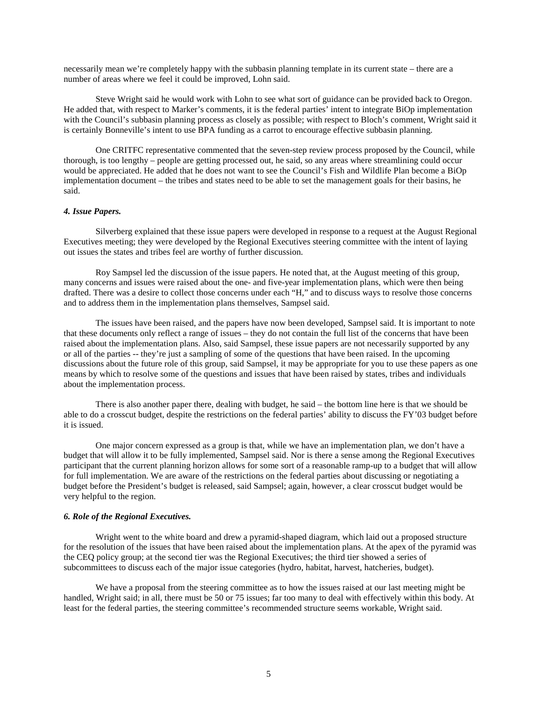necessarily mean we're completely happy with the subbasin planning template in its current state – there are a number of areas where we feel it could be improved, Lohn said.

 Steve Wright said he would work with Lohn to see what sort of guidance can be provided back to Oregon. He added that, with respect to Marker's comments, it is the federal parties' intent to integrate BiOp implementation with the Council's subbasin planning process as closely as possible; with respect to Bloch's comment, Wright said it is certainly Bonneville's intent to use BPA funding as a carrot to encourage effective subbasin planning.

 One CRITFC representative commented that the seven-step review process proposed by the Council, while thorough, is too lengthy – people are getting processed out, he said, so any areas where streamlining could occur would be appreciated. He added that he does not want to see the Council's Fish and Wildlife Plan become a BiOp implementation document – the tribes and states need to be able to set the management goals for their basins, he said.

#### *4. Issue Papers.*

 Silverberg explained that these issue papers were developed in response to a request at the August Regional Executives meeting; they were developed by the Regional Executives steering committee with the intent of laying out issues the states and tribes feel are worthy of further discussion.

 Roy Sampsel led the discussion of the issue papers. He noted that, at the August meeting of this group, many concerns and issues were raised about the one- and five-year implementation plans, which were then being drafted. There was a desire to collect those concerns under each "H," and to discuss ways to resolve those concerns and to address them in the implementation plans themselves, Sampsel said.

 The issues have been raised, and the papers have now been developed, Sampsel said. It is important to note that these documents only reflect a range of issues – they do not contain the full list of the concerns that have been raised about the implementation plans. Also, said Sampsel, these issue papers are not necessarily supported by any or all of the parties -- they're just a sampling of some of the questions that have been raised. In the upcoming discussions about the future role of this group, said Sampsel, it may be appropriate for you to use these papers as one means by which to resolve some of the questions and issues that have been raised by states, tribes and individuals about the implementation process.

 There is also another paper there, dealing with budget, he said – the bottom line here is that we should be able to do a crosscut budget, despite the restrictions on the federal parties' ability to discuss the FY'03 budget before it is issued.

 One major concern expressed as a group is that, while we have an implementation plan, we don't have a budget that will allow it to be fully implemented, Sampsel said. Nor is there a sense among the Regional Executives participant that the current planning horizon allows for some sort of a reasonable ramp-up to a budget that will allow for full implementation. We are aware of the restrictions on the federal parties about discussing or negotiating a budget before the President's budget is released, said Sampsel; again, however, a clear crosscut budget would be very helpful to the region.

## *6. Role of the Regional Executives.*

 Wright went to the white board and drew a pyramid-shaped diagram, which laid out a proposed structure for the resolution of the issues that have been raised about the implementation plans. At the apex of the pyramid was the CEQ policy group; at the second tier was the Regional Executives; the third tier showed a series of subcommittees to discuss each of the major issue categories (hydro, habitat, harvest, hatcheries, budget).

 We have a proposal from the steering committee as to how the issues raised at our last meeting might be handled, Wright said; in all, there must be 50 or 75 issues; far too many to deal with effectively within this body. At least for the federal parties, the steering committee's recommended structure seems workable, Wright said.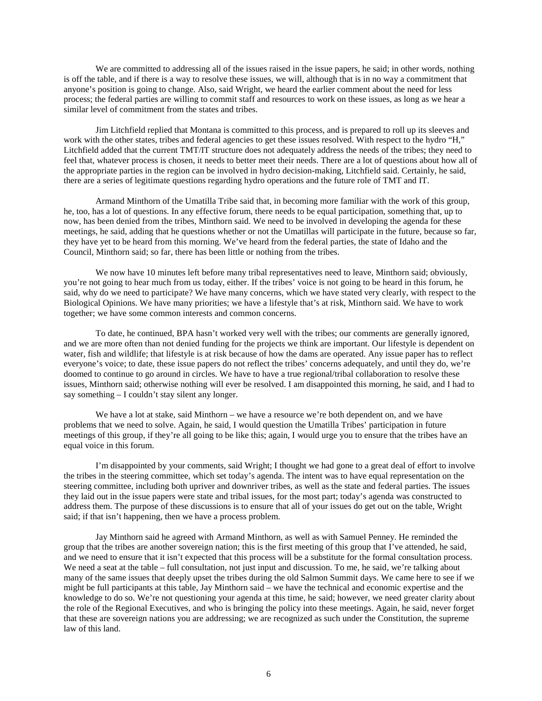We are committed to addressing all of the issues raised in the issue papers, he said; in other words, nothing is off the table, and if there is a way to resolve these issues, we will, although that is in no way a commitment that anyone's position is going to change. Also, said Wright, we heard the earlier comment about the need for less process; the federal parties are willing to commit staff and resources to work on these issues, as long as we hear a similar level of commitment from the states and tribes.

 Jim Litchfield replied that Montana is committed to this process, and is prepared to roll up its sleeves and work with the other states, tribes and federal agencies to get these issues resolved. With respect to the hydro "H," Litchfield added that the current TMT/IT structure does not adequately address the needs of the tribes; they need to feel that, whatever process is chosen, it needs to better meet their needs. There are a lot of questions about how all of the appropriate parties in the region can be involved in hydro decision-making, Litchfield said. Certainly, he said, there are a series of legitimate questions regarding hydro operations and the future role of TMT and IT.

 Armand Minthorn of the Umatilla Tribe said that, in becoming more familiar with the work of this group, he, too, has a lot of questions. In any effective forum, there needs to be equal participation, something that, up to now, has been denied from the tribes, Minthorn said. We need to be involved in developing the agenda for these meetings, he said, adding that he questions whether or not the Umatillas will participate in the future, because so far, they have yet to be heard from this morning. We've heard from the federal parties, the state of Idaho and the Council, Minthorn said; so far, there has been little or nothing from the tribes.

 We now have 10 minutes left before many tribal representatives need to leave, Minthorn said; obviously, you're not going to hear much from us today, either. If the tribes' voice is not going to be heard in this forum, he said, why do we need to participate? We have many concerns, which we have stated very clearly, with respect to the Biological Opinions. We have many priorities; we have a lifestyle that's at risk, Minthorn said. We have to work together; we have some common interests and common concerns.

 To date, he continued, BPA hasn't worked very well with the tribes; our comments are generally ignored, and we are more often than not denied funding for the projects we think are important. Our lifestyle is dependent on water, fish and wildlife; that lifestyle is at risk because of how the dams are operated. Any issue paper has to reflect everyone's voice; to date, these issue papers do not reflect the tribes' concerns adequately, and until they do, we're doomed to continue to go around in circles. We have to have a true regional/tribal collaboration to resolve these issues, Minthorn said; otherwise nothing will ever be resolved. I am disappointed this morning, he said, and I had to say something – I couldn't stay silent any longer.

We have a lot at stake, said Minthorn – we have a resource we're both dependent on, and we have problems that we need to solve. Again, he said, I would question the Umatilla Tribes' participation in future meetings of this group, if they're all going to be like this; again, I would urge you to ensure that the tribes have an equal voice in this forum.

 I'm disappointed by your comments, said Wright; I thought we had gone to a great deal of effort to involve the tribes in the steering committee, which set today's agenda. The intent was to have equal representation on the steering committee, including both upriver and downriver tribes, as well as the state and federal parties. The issues they laid out in the issue papers were state and tribal issues, for the most part; today's agenda was constructed to address them. The purpose of these discussions is to ensure that all of your issues do get out on the table, Wright said; if that isn't happening, then we have a process problem.

 Jay Minthorn said he agreed with Armand Minthorn, as well as with Samuel Penney. He reminded the group that the tribes are another sovereign nation; this is the first meeting of this group that I've attended, he said, and we need to ensure that it isn't expected that this process will be a substitute for the formal consultation process. We need a seat at the table – full consultation, not just input and discussion. To me, he said, we're talking about many of the same issues that deeply upset the tribes during the old Salmon Summit days. We came here to see if we might be full participants at this table, Jay Minthorn said – we have the technical and economic expertise and the knowledge to do so. We're not questioning your agenda at this time, he said; however, we need greater clarity about the role of the Regional Executives, and who is bringing the policy into these meetings. Again, he said, never forget that these are sovereign nations you are addressing; we are recognized as such under the Constitution, the supreme law of this land.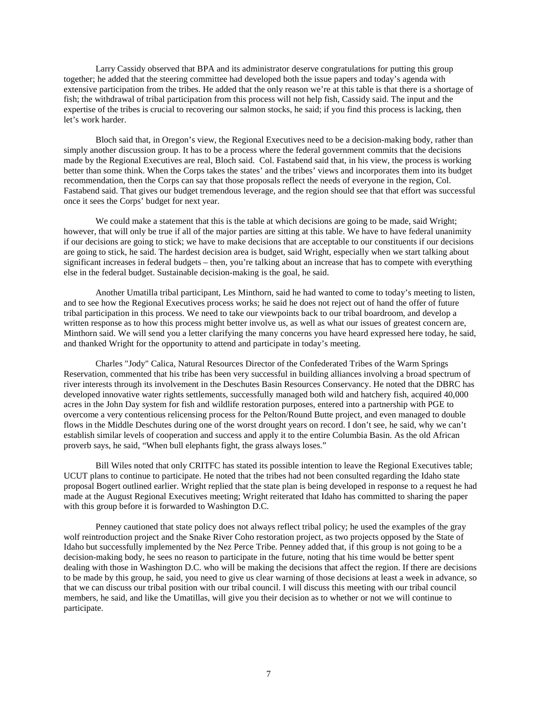Larry Cassidy observed that BPA and its administrator deserve congratulations for putting this group together; he added that the steering committee had developed both the issue papers and today's agenda with extensive participation from the tribes. He added that the only reason we're at this table is that there is a shortage of fish; the withdrawal of tribal participation from this process will not help fish, Cassidy said. The input and the expertise of the tribes is crucial to recovering our salmon stocks, he said; if you find this process is lacking, then let's work harder.

 Bloch said that, in Oregon's view, the Regional Executives need to be a decision-making body, rather than simply another discussion group. It has to be a process where the federal government commits that the decisions made by the Regional Executives are real, Bloch said. Col. Fastabend said that, in his view, the process is working better than some think. When the Corps takes the states' and the tribes' views and incorporates them into its budget recommendation, then the Corps can say that those proposals reflect the needs of everyone in the region, Col. Fastabend said. That gives our budget tremendous leverage, and the region should see that that effort was successful once it sees the Corps' budget for next year.

We could make a statement that this is the table at which decisions are going to be made, said Wright; however, that will only be true if all of the major parties are sitting at this table. We have to have federal unanimity if our decisions are going to stick; we have to make decisions that are acceptable to our constituents if our decisions are going to stick, he said. The hardest decision area is budget, said Wright, especially when we start talking about significant increases in federal budgets – then, you're talking about an increase that has to compete with everything else in the federal budget. Sustainable decision-making is the goal, he said.

 Another Umatilla tribal participant, Les Minthorn, said he had wanted to come to today's meeting to listen, and to see how the Regional Executives process works; he said he does not reject out of hand the offer of future tribal participation in this process. We need to take our viewpoints back to our tribal boardroom, and develop a written response as to how this process might better involve us, as well as what our issues of greatest concern are, Minthorn said. We will send you a letter clarifying the many concerns you have heard expressed here today, he said, and thanked Wright for the opportunity to attend and participate in today's meeting.

 Charles "Jody" Calica, Natural Resources Director of the Confederated Tribes of the Warm Springs Reservation, commented that his tribe has been very successful in building alliances involving a broad spectrum of river interests through its involvement in the Deschutes Basin Resources Conservancy. He noted that the DBRC has developed innovative water rights settlements, successfully managed both wild and hatchery fish, acquired 40,000 acres in the John Day system for fish and wildlife restoration purposes, entered into a partnership with PGE to overcome a very contentious relicensing process for the Pelton/Round Butte project, and even managed to double flows in the Middle Deschutes during one of the worst drought years on record. I don't see, he said, why we can't establish similar levels of cooperation and success and apply it to the entire Columbia Basin. As the old African proverb says, he said, "When bull elephants fight, the grass always loses."

 Bill Wiles noted that only CRITFC has stated its possible intention to leave the Regional Executives table; UCUT plans to continue to participate. He noted that the tribes had not been consulted regarding the Idaho state proposal Bogert outlined earlier. Wright replied that the state plan is being developed in response to a request he had made at the August Regional Executives meeting; Wright reiterated that Idaho has committed to sharing the paper with this group before it is forwarded to Washington D.C.

 Penney cautioned that state policy does not always reflect tribal policy; he used the examples of the gray wolf reintroduction project and the Snake River Coho restoration project, as two projects opposed by the State of Idaho but successfully implemented by the Nez Perce Tribe. Penney added that, if this group is not going to be a decision-making body, he sees no reason to participate in the future, noting that his time would be better spent dealing with those in Washington D.C. who will be making the decisions that affect the region. If there are decisions to be made by this group, he said, you need to give us clear warning of those decisions at least a week in advance, so that we can discuss our tribal position with our tribal council. I will discuss this meeting with our tribal council members, he said, and like the Umatillas, will give you their decision as to whether or not we will continue to participate.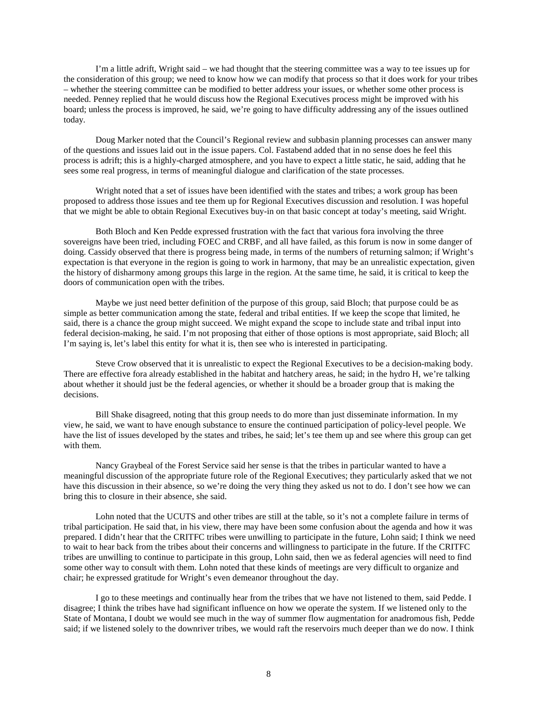I'm a little adrift, Wright said – we had thought that the steering committee was a way to tee issues up for the consideration of this group; we need to know how we can modify that process so that it does work for your tribes – whether the steering committee can be modified to better address your issues, or whether some other process is needed. Penney replied that he would discuss how the Regional Executives process might be improved with his board; unless the process is improved, he said, we're going to have difficulty addressing any of the issues outlined today.

 Doug Marker noted that the Council's Regional review and subbasin planning processes can answer many of the questions and issues laid out in the issue papers. Col. Fastabend added that in no sense does he feel this process is adrift; this is a highly-charged atmosphere, and you have to expect a little static, he said, adding that he sees some real progress, in terms of meaningful dialogue and clarification of the state processes.

 Wright noted that a set of issues have been identified with the states and tribes; a work group has been proposed to address those issues and tee them up for Regional Executives discussion and resolution. I was hopeful that we might be able to obtain Regional Executives buy-in on that basic concept at today's meeting, said Wright.

 Both Bloch and Ken Pedde expressed frustration with the fact that various fora involving the three sovereigns have been tried, including FOEC and CRBF, and all have failed, as this forum is now in some danger of doing. Cassidy observed that there is progress being made, in terms of the numbers of returning salmon; if Wright's expectation is that everyone in the region is going to work in harmony, that may be an unrealistic expectation, given the history of disharmony among groups this large in the region. At the same time, he said, it is critical to keep the doors of communication open with the tribes.

 Maybe we just need better definition of the purpose of this group, said Bloch; that purpose could be as simple as better communication among the state, federal and tribal entities. If we keep the scope that limited, he said, there is a chance the group might succeed. We might expand the scope to include state and tribal input into federal decision-making, he said. I'm not proposing that either of those options is most appropriate, said Bloch; all I'm saying is, let's label this entity for what it is, then see who is interested in participating.

 Steve Crow observed that it is unrealistic to expect the Regional Executives to be a decision-making body. There are effective fora already established in the habitat and hatchery areas, he said; in the hydro H, we're talking about whether it should just be the federal agencies, or whether it should be a broader group that is making the decisions.

 Bill Shake disagreed, noting that this group needs to do more than just disseminate information. In my view, he said, we want to have enough substance to ensure the continued participation of policy-level people. We have the list of issues developed by the states and tribes, he said; let's tee them up and see where this group can get with them.

 Nancy Graybeal of the Forest Service said her sense is that the tribes in particular wanted to have a meaningful discussion of the appropriate future role of the Regional Executives; they particularly asked that we not have this discussion in their absence, so we're doing the very thing they asked us not to do. I don't see how we can bring this to closure in their absence, she said.

 Lohn noted that the UCUTS and other tribes are still at the table, so it's not a complete failure in terms of tribal participation. He said that, in his view, there may have been some confusion about the agenda and how it was prepared. I didn't hear that the CRITFC tribes were unwilling to participate in the future, Lohn said; I think we need to wait to hear back from the tribes about their concerns and willingness to participate in the future. If the CRITFC tribes are unwilling to continue to participate in this group, Lohn said, then we as federal agencies will need to find some other way to consult with them. Lohn noted that these kinds of meetings are very difficult to organize and chair; he expressed gratitude for Wright's even demeanor throughout the day.

 I go to these meetings and continually hear from the tribes that we have not listened to them, said Pedde. I disagree; I think the tribes have had significant influence on how we operate the system. If we listened only to the State of Montana, I doubt we would see much in the way of summer flow augmentation for anadromous fish, Pedde said; if we listened solely to the downriver tribes, we would raft the reservoirs much deeper than we do now. I think